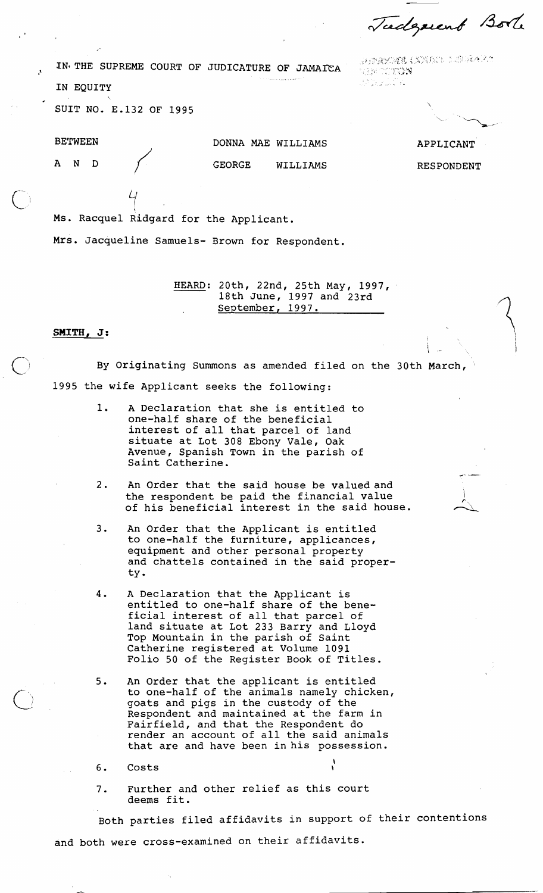Tudgment Bole

.. .,. . .., **.":'\$'\*d** " IN\* THE SUPREME COURT OF JUDICATURE OF JAMAEA ., , .,, <, **>,,a,.,,,:** . . IN EQUITY

,,?,,,.t\/, ,,\*!. <p ;, ~,:~..,!;(,,.~L , ,,.', . , . :#!-,. ,, **t.** :'. . >.., **'r.:** .: .... . ,' \*. '- ,:. !? ;', '" i wij

SUIT NO. E.132 OF 1995

**BETWEEN** 

AND

DONNA MAE WILLIAMS GEORGE WILLIAMS APPLICANT

RESPONDENT

I

**<sup>L</sup>**-. **<sup>I</sup>**

**P'** -

Ms. Racquel Ridgard for the Applicant.

Mrs. Jacqueline Samuels- Brown for Respondent.

HEARD: 20th, 22nd, 25th May, 1997, 18th June, 1997 and 23rd September, 1997.

## $S$ MITH, J:  $\qquad \qquad$

By Originating Summons as amended filed on the 30th March, 1995 the wife Applicant seeks the following:

- 1. A Declaration that she is entitled to one-half share of the beneficial interest of all that parcel of land situate at Lot 308 Ebony Vale, Oak Avenue, Spanish Town in the parish of Saint Catherine.
- 2. An Order that the said house be valued and the respondent be paid the financial value  $\qquad \qquad \rangle$ An Order that the said house be valued and<br>the respondent be paid the financial value<br>of his beneficial interest in the said house.
- 3. An Order that the Applicant is entitled to one-half the furniture, applicances, equipment and other personal property and chattels contained in the said property.
- 4. A Declaration that the Applicant is entitled to one-half share of the beneficial interest of all that parcel of land situate at Lot 233 Barry and Lloyd Top Mountain in the parish of Saint Catherine registered at Volume 1091 Folio 50 of the Register Book of Titles.
- 5. An Order that the applicant is entitled to one-half of the animals namely chicken, goats and pigs in the custody of the Respondent and maintained at the farm in Fairfield, and that the Respondent do render an account of all the said animals that are and have been in his possession.
- 6. Costs
- 7. Further and other relief as this court deems fit.

Both parties filed affidavits in support of their contentions and both were cross-examined on their affidavits.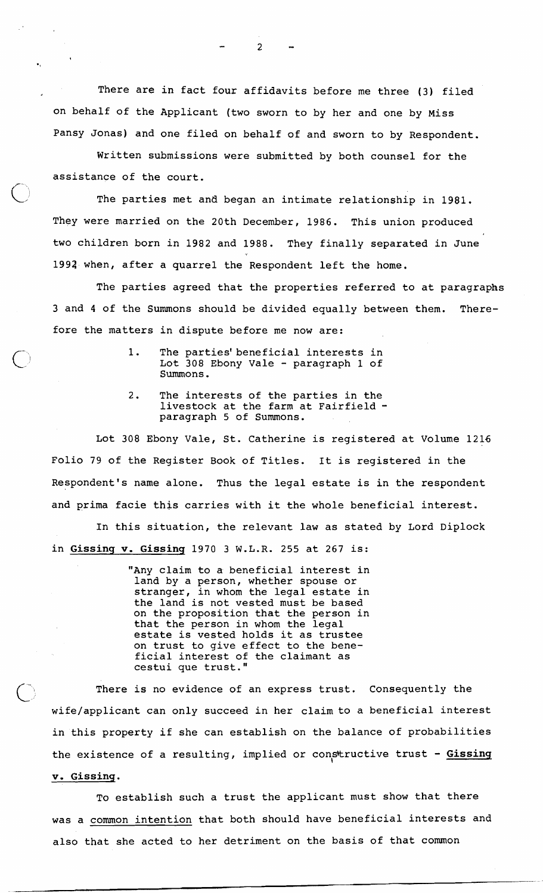There are in fact four affidavits before me three (3) filed on behalf of the Applicant (two sworn to by her and one by Miss Pansy Jonas) and one filed on behalf of and sworn to by Respondent.

Written submissions were submitted by both counsel for the assistance of the court.

The parties met and began an intimate relationship in 1981. They were married on the 20th December, 1986. This union produced two children born in 1982 and 1988. They finally separated in June 1993 when, after a quarrel the Respondent left the home.

The parties agreed that the properties referred to at paragraphs 3 and 4 of the Summons should be divided equally between them. Therefore the matters in dispute before me now are:

- 1. The parties'beneficial interests in Lot 308 Ebony Vale - paragraph 1 of Summons.
- 2. The interests of the parties in the livestock at the farm at Fairfield paragraph 5 of Summons.

Lot 308 Ebony Vale, St. Catherine is registered at Volume 1216 Folio 79 of the Register Book of Titles. It is registered in the Respondent's name alone. Thus the legal estate is in the respondent and prima facie this carries with it the whole beneficial interest.

In this situation, the relevant law as stated by Lord Diplock in **Gissing** v. **Gissing** 1970 **3** W.L.R. 255 at 267 is:

> "Any claim to a beneficial interest in land by a person, whether spouse or stranger, in whom the legal estate in the land is not vested must be based on the proposition that the person in that the person in whom the legal estate is vested holds it as trustee on trust to give effect to the beneficial interest of the claimant as cestui que trust."

There is no evidence of an express trust. Consequently the wife/applicant can only succeed in her claim to a beneficial interest in this property if she can establish on the balance of probabilities the existence of a resulting, implied or constructive trust - Gissing **v. Gissing.** 

To establish such a trust the applicant must show that there was a common intention that both should have beneficial interests and also that she acted to her detriment on the basis of that common

 $\overline{c}$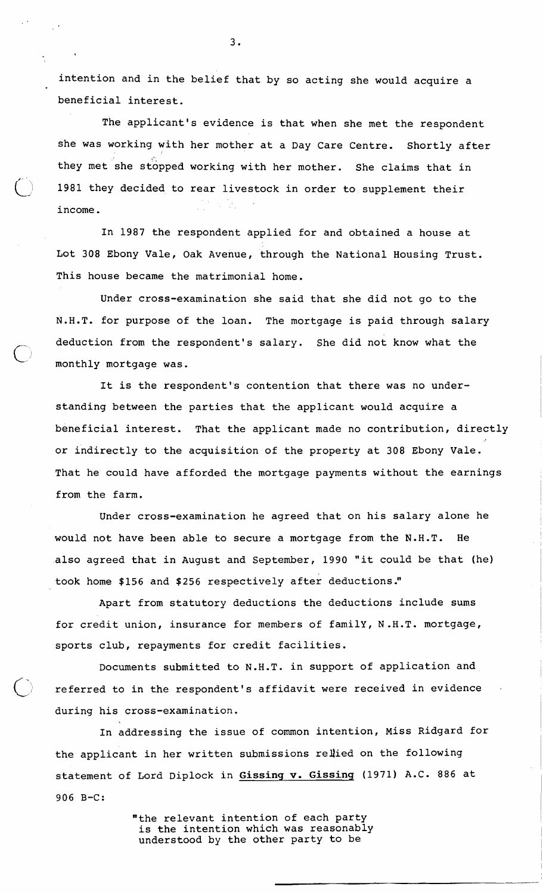intention and in the belief that by so acting she would acquire a beneficial interest.

The applicant's evidence is that when she met the respondent she was working with her mother at a Day Care Centre. Shortly after they met she stopped working with her mother. She claims that in 1981 they decided to rear livestock in order to supplement their income. . .

In 1987 the respondent applied for and obtained a house at Lot 308 Ebony Vale, Oak Avenue, through the National Housing Trust. This house became the matrimonial home.

Under cross-examination she said that she did not go to the N.H.T. for purpose of the loan. The mortgage is paid through salary deduction from the respondent's salary. She did not know what the monthly mortgage was.

It is the respondent's contention that there was no understanding between the parties that the applicant would acquire a beneficial interest. That the applicant made no contribution, directly or indirectly to the acquisition of the property at 308 Ebony Vale. That he could have afforded the mortgage payments without the earnings from the farm.

Under cross-examination he agreed that on his salary alone he would not have been able to secure a mortgage from the N.H.T. He also agreed that in August and September, 1990 "it could be that (he) took home \$156 and \$256 respectively after deductions."

Apart from statutory deductions the deductions include sums for credit union, insurance for members of family, N.H.T. mortgage, sports club, repayments for credit facilities.

Documents submitted to N.H.T. in support of application and referred to in the respondent's affidavit were received in evidence during his cross-examination.

In addressing the issue of common intention, Miss Ridgard for the applicant in her written submissions rellied on the following statement of Lord Diplock in **Gissing** v. **Gissinq** (1971) A.C. 886 at 906 B-C:

> "the relevant intention of each party is the intention which was reasonably understood by the other party to be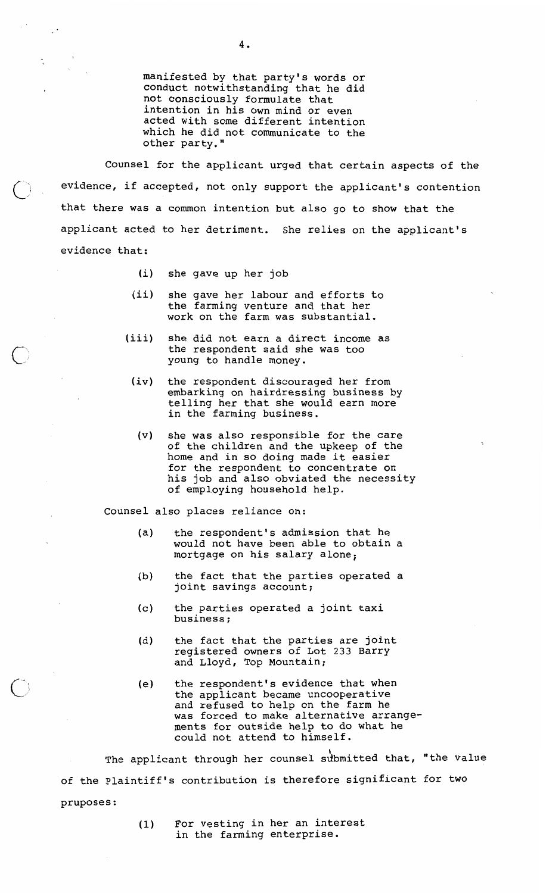manifested by that party's words or conduct notwithstanding that he did not consciously formulate that intention in his own mind or even acted with some different intention which he did not communicate to the other party."

Counsel for the applicant urged that certain aspects of the evidence, if accepted, not only support the applicant's contention that there was a common intention but also go to show that the applicant acted to her detriment. She relies on the applicant's evidence that:

- (i) she gave up her job
- (ii) she gave her labour and efforts to the farming venture and that her work on the farm was substantial.
- (iii) she did not earn a direct income as the respondent said she was too young to handle money.
	- (iv) the respondent discouraged her from embarking on hairdressing business by telling her that she would earn more in the farming business.
	- (v) she was also responsible for the care of the children and the upkeep of the home and in so doing made it easier for the respondent to concentrate on his job and also obviated the necessity of employing household help.

Counsel also places reliance on:

- (a) the respondent's admission that he would not have been able to obtain a mortgage on his salary alone;
- (b) the fact that the parties operated a joint savings account;
- c) the parties operated a joint taxi<br>business;
- (d) the fact that the parties are joint registered owners of Lot 233 Barry and Lloyd, Top Mountain;
- (e) the respondent's evidence that when the applicant became uncooperative and refused to help on the farm he was forced to make alternative arrangements for outside help to do what he could not attend to himself.

\ The applicant through her counsel sdbmitted that, "the value of the Plaintiff's contribution is therefore significant for two pruposes :

> **(1)** For vesting in her an interest in the farming enterprise.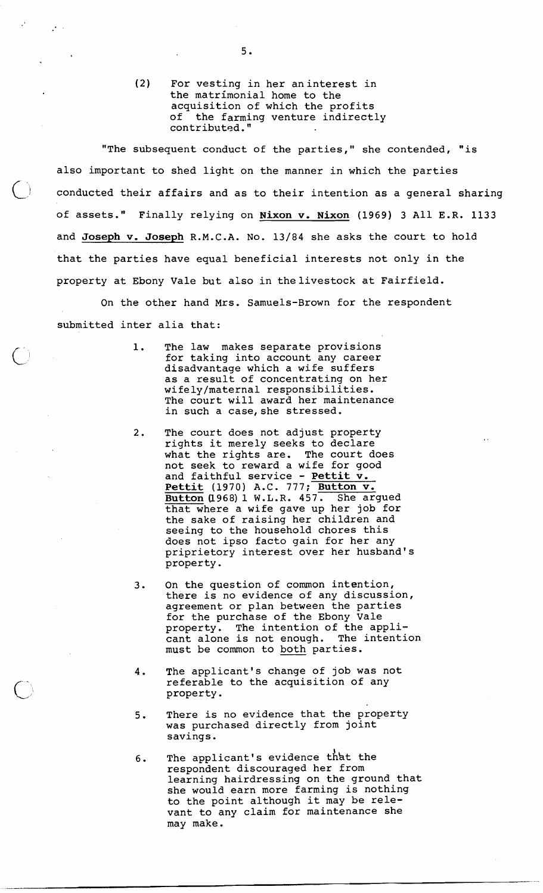**(2)** For vesting in her aninterest in the matrimonial home to the acquisition of which the profits<br>of the farming venture indirect. the farming venture indirectly contributed."

"The subsequent conduct of the parties," she contended, "is also important to shed light on the manner in which the parties conducted their affairs and as to their intention as a general sharing of assets." Finally relying on **Nixon v. Nixon** (1969) 3 All E.R. 1133 and **Joseph v. Joseph** R.M.C.A. No. 13/84 she asks the court to hold that the parties have equal beneficial interests not only in the property at Ebony Vale but also in thelivestock at Fairfield.

On the other hand Mrs. Samuels-Brown for the respondent submitted inter alia that:

- 1. The law makes separate provisions for taking into account any career disadvantage which a wife suffers as a result of concentrating on her wifely/maternal responsibilities. The court will award her maintenance in such a case, she stressed.
- 2. The court does not adjust property rights it merely seeks to declare what the rights are. The court does not seek to reward a wife for good and faithful service - **Pettit v. Pettit** (1970) A.C. 777; **Button v. Button** (1968) 1 W.L.R. 457. that where **a** wife gave up her job-for the sake of raising her children and seeing to the household chores this does not ipso facto gain for her any priprietory interest over her husband's property.
- 3. On the question of common intention, there is no evidence of any discussion, agreement or plan between the parties for the purchase of the Ebony vale property. The intention of the appli-<br>cant alone is not enough. The intention cant alone is not enough. must be common to both parties.
- 4. The applicant's change of job was not referable to the acquisition of any property.
- 5. There is no evidence that the property was purchased directly from joint savings.
- 6. The applicant's evidence that the respondent discouraged her from learning hairdressing on the ground that she would earn more farming is nothing to the point although it may be relevant to any claim for maintenance she may make.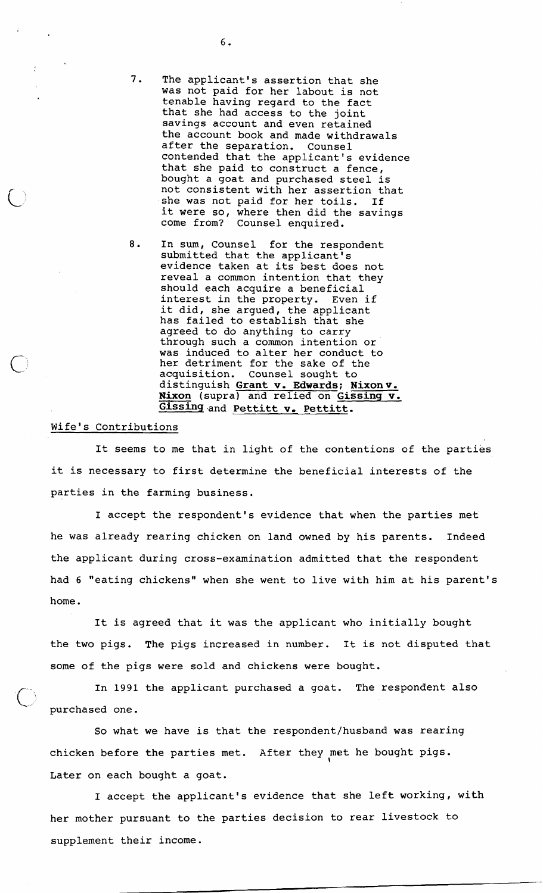- 7. The applicant's assertion that she was not paid for her labout is not tenable having regard to the fact that she had access to the joint savings account and even retained the account book and made withdrawals after the separation. Counsel contended that the applicant's evidence that she paid to construct a fence, bought a goat and purchased steel is not consistent with her assertion that .she was not paid for her toils. If it were so, where then did the savings<br>come from? Counsel enquired. Counsel enquired.
- 8. In sum, Counsel for the respondent submitted that the applicant's evidence taken at its best does not reveal a common intention that they should each acquire a beneficial interest in the property. Even if it did, she argued, the applicant has failed to establish that she agreed to do anything to carry through such a common intention or was induced to alter her conduct to her detriment for the sake of the acquisition. Counsel sought to distinguish Grant v. Edwards; Nixon v. Nixon (supra) and relied on Gissing v. Gissing and Pettitt v. Pettitt.

## Wife's Contributions

It seems to me that in light of the contentions of the parties it is necessary to first determine the beneficial interests of the parties in the farming business.

I accept the respondent's evidence that when the parties met he was already rearing chicken on land owned by his parents. Indeed the applicant during cross-examination admitted that the respondent had 6 "eating chickens" when she went to live with him at his parent's home.

It is agreed that it was the applicant who initially bought the two pigs. The pigs increased in number. It is not disputed that some of the pigs were sold and chickens were bought.

In 1991 the applicant purchased a goat. The respondent also purchased one.

So what we have is that the respondent/husband was rearing chicken before the parties met. After they met he bought pigs. \ Later on each bought a goat.

I accept the applicant's evidence that she left working, with her mother pursuant to the parties decision to rear livestock to supplement their income.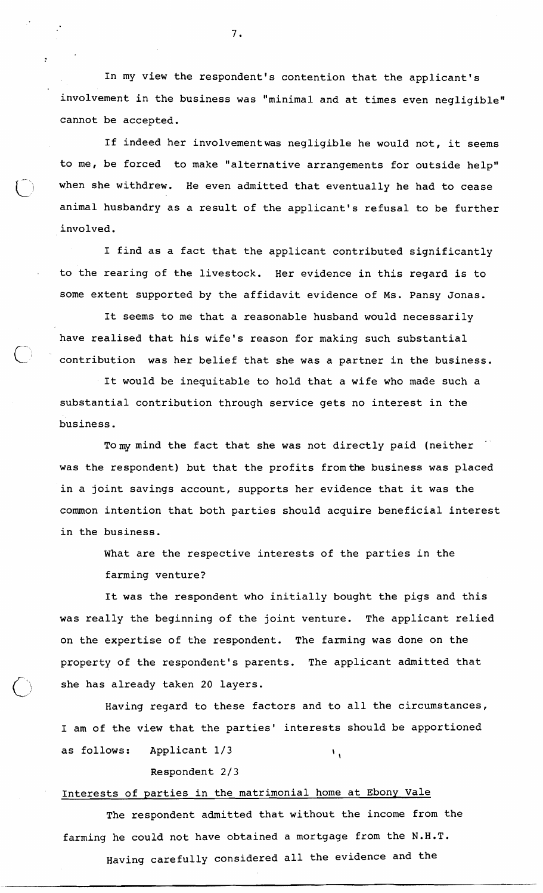In my view the respondent's contention that the applicant's involvement in the business was "minimal and at times even negligible" cannot be accepted.

If indeed her involvementwas negligible he would not, it seems to me, be forced to make "alternative arrangements for outside help" when she withdrew. He even admitted that eventually he had to cease animal husbandry as a result of the applicant's refusal to be further involved.

I find as a fact that the applicant contributed significantly to the rearing of the livestock. Her evidence in this regard is to some extent supported by the affidavit evidence of Ms. Pansy Jonas.

It seems to me that a reasonable husband would necessarily have realised that his wife's reason for making such substantial contribution was her belief that she was a partner in the business.

It would be inequitable to hold that a wife who made such a substantial contribution through service gets no interest in the business.

To my mind the fact that she was not directly paid (neither was the respondent) but that the profits fromthe business was placed in a joint savings account, supports her evidence that it was the common intention that both parties should acquire beneficial interest in the business.

> What are the respective interests of the parties in the farming venture?

It was the respondent who initially bought the pigs and this was really the beginning of the joint venture. The applicant relied on the expertise of the respondent. The farming was done on the property of the respondent's parents. The applicant admitted that she has already taken 20 layers.

Having regard to these factors and to all the circumstances, I am of the view that the parties' interests should be apportioned as follows: Applicant  $1/3$ 

Respondent 2/3

## Interests of parties in the matrimonial home at Ebony Vale

The respondent admitted that without the income from the farming he could not have obtained a mortgage from the N.H.T. Having carefully considered all the evidence and the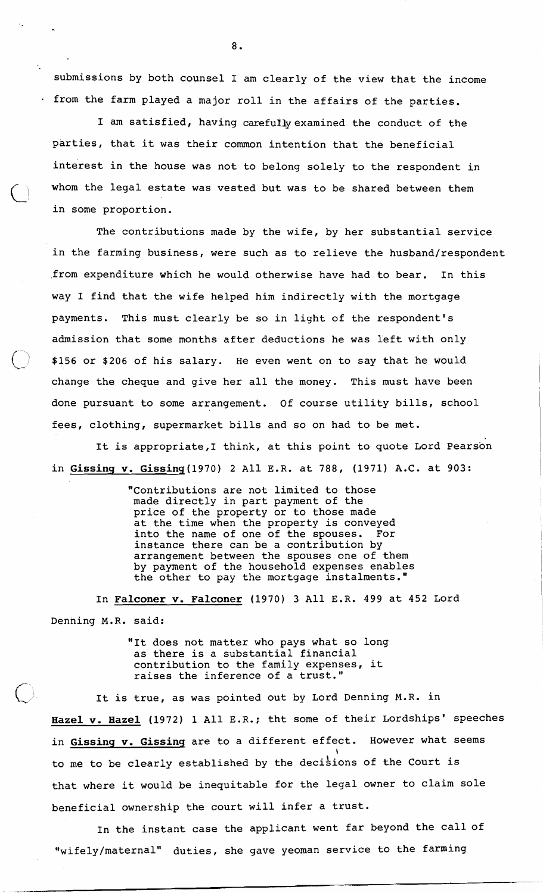submissions by both counsel I am clearly of the view that the income from the farm played a major roll in the affairs of the parties.

I am satisfied, having carefully examined the conduct of the parties, that it was their common intention that the beneficial interest in the house was not to belong solely to the respondent in whom the legal estate was vested but was to be shared between them in some proportion.

The contributions made by the wife, by her substantial service in the farming business, were such as to relieve the husband/respondent ,from expenditure which he would otherwise have had to bear. In this way I find that the wife helped him indirectly with the mortgage payments. This must clearly be so in light of the respondent's admission that some months after deductions he was left with only  $$156$  or  $$206$  of his salary. He even went on to say that he would change the cheque and give her all the money. This must have been done pursuant to some arrangement. Of course utility bills, school fees, clothing, supermarket bills and so on had to be met.

It is appropriate,I think, at this point to quote Lord Pearson in Gissing v. Gissing (1970) 2 All E.R. at 788, (1971) A.C. at 903:

> "Contributions are not limited to those made directly in part payment of the price of the property or to those made at the time when the property is conveyed into the name of one of the spouses. For instance there can be a contribution by arrangement between the spouses one of them by payment of the household expenses enables the other to pay the mortgage instalments.

In Falconer **v.** Falconer (1970) **3** All **E.R.** 499 at 452 Lord Denning **M.R.** said:

> "It does not matter who pays what so long as there is a substantial financial contribution to the family expenses, it raises the inference of a trust."

It is true, as was pointed out by Lord Denning **M.R.** in Hazel **v.** Hazel (1972) 1 All **E.R.;** tht some of their Lordships' speeches in Gissing **v.** Gissinq are to a different effect. However what seems **I**  to me to be clearly established by the decisions of the Court is that where it would be inequitable for the legal owner to claim sole beneficial ownership the court will infer a trust.

In the instant case the applicant went far beyond the call of "wifely/maternal" duties, she gave yeoman service to the farming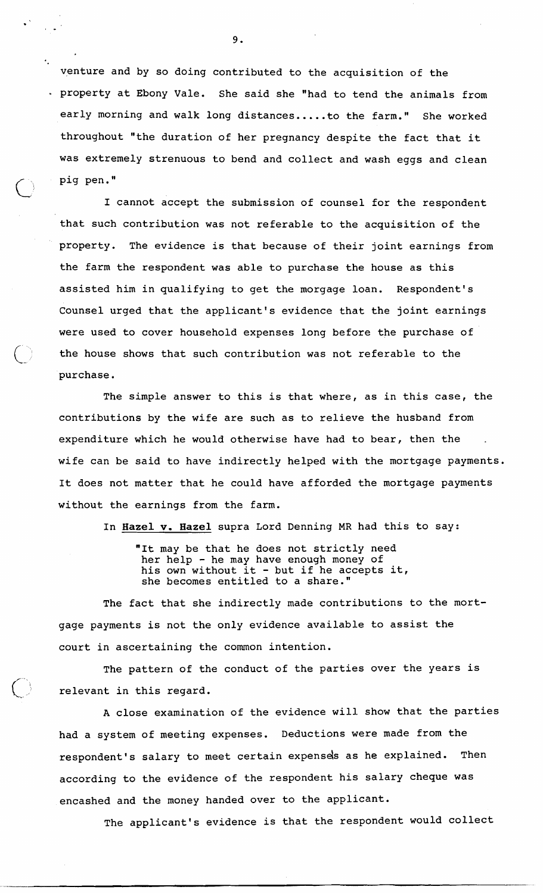venture and by so doing contributed to the acquisition of the . property at Ebony Vale. She said she "had to tend the animals from early morning and walk long distances ..... to the farm." She worked throughout "the duration of her pregnancy despite the fact that it was extremely strenuous to bend and collect and wash eggs and clean pig pen."  $\bigcirc$  if  $\mathsf{P}$ 

I cannot accept the submission of counsel for the respondent that such contribution was not referable to the acquisition of the property. The evidence is that because of their joint earnings from the farm the respondent was able to purchase the house as this assisted him in qualifying to get the morgage loan. Respondent's Counsel urged that the applicant's evidence that the joint earnings were used to cover household expenses long before the purchase of the house shows that such contribution was not referable to the purchase.

The simple answer to this is that where, as in this case, the contributions by the wife are such as to relieve the husband from expenditure which he would otherwise have had to bear, then the wife can be said to have indirectly helped with the mortgage payments. It does not matter that he could have afforded the mortgage payments without the earnings from the farm.

In **Hazel** v. **Hazel** supra Lord Denning MR had this to say:

"It may be that he does not strictly need her help - he may have enough money of her heip - he may have enough money of<br>his own without it - but if he accepts it, she becomes entitled to a share."

The fact that she indirectly made contributions to the mortgage payments is not the only evidence available to assist the court in ascertaining the common intention.

The pattern of the conduct of the parties over the years is relevant in this regard.

A close examination of the evidence will show that the parties had a system of meeting expenses. Deductions were made from the respondent's salary to meet certain expensds as he explained. Then according to the evidence of the respondent his salary cheque was encashed and the money handed over to the applicant.

The applicant's evidence is that the respondent would collect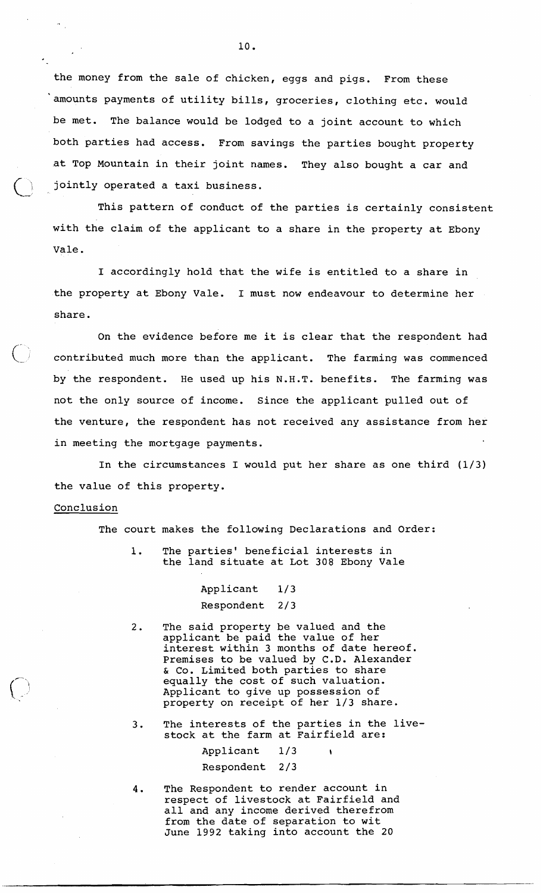the money from the sale of chicken, eggs and pigs. From these amounts payments of utility bills, groceries, clothing etc. would be met. The balance would be lodged to a joint account to which both parties had access. From savings the parties bought property .at Top Mountain in their joint names. They also bought a car and jointly operated a taxi business.

This pattern of conduct of the parties is certainly consistent with the claim of the applicant to a share in the property at Ebony Vale.

I accordingly hold that the wife is entitled to a share in the property at Ebony Vale. I must now endeavour to determine her share.

On the evidence before me it is clear that the respondent had contributed much more than the applicant. The farming was commenced by the respondent. He used up his N.H.T. benefits. The farming was not the only source of income. Since the applicant pulled out of the venture, the respondent has not received any assistance from her in meeting the mortgage payments.

In the circumstances I would put her share as one third (1/3) the value of this property.

## **Conclusion**

 $\mathcal{L}_{\mathcal{A}_{\mathcal{A},\mathcal{C}}}$ 

The court makes the following Declarations and Order:

1. The parties' beneficial interests in the land situate at Lot 308 Ebony Vale

> Applicant 1/3 Respondent 2/ 3

- The said property be valued and the  $2.$ applicant be paid the value of her interest within 3 months of date hereof. Premises to be valued by C.D. Alexander & Co. Limited both parties to share equally the cost of such valuation. Applicant to give up possession of property on receipt of her 1/3 share.
- 3. The interests of the parties in the livestock at the farm at Fairfield are:

Applicant 1/3 \ Respondent 2/3

4. The Respondent to render account in respect of livestock at Fairfield and all and any income derived therefrom from the date of separation to wit June 1992 taking into account the 20